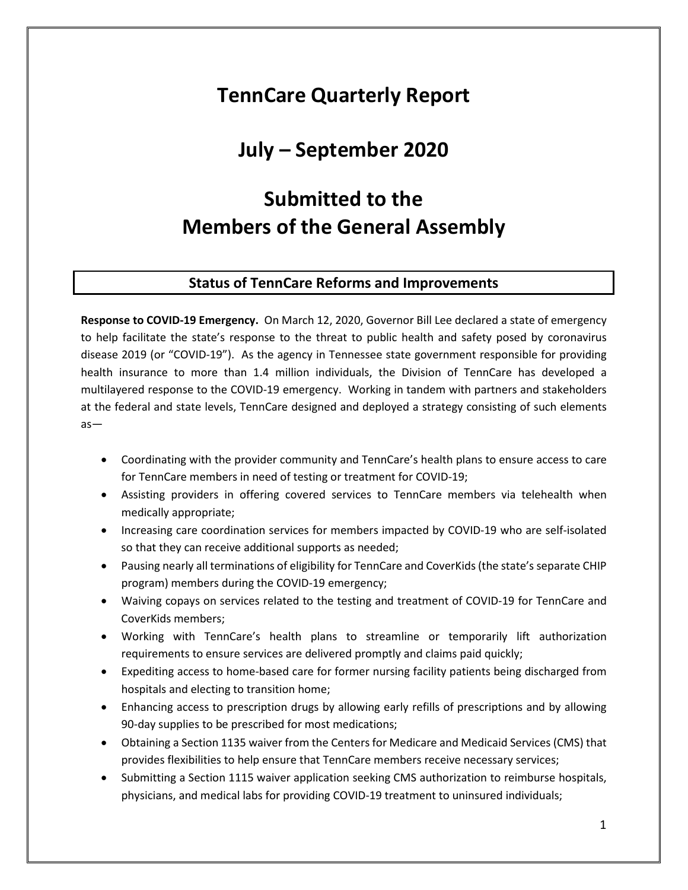# **TennCare Quarterly Report**

## **July – September 2020**

# **Submitted to the Members of the General Assembly**

### **Status of TennCare Reforms and Improvements**

**Response to COVID-19 Emergency.** On March 12, 2020, Governor Bill Lee declared a state of emergency to help facilitate the state's response to the threat to public health and safety posed by coronavirus disease 2019 (or "COVID-19"). As the agency in Tennessee state government responsible for providing health insurance to more than 1.4 million individuals, the Division of TennCare has developed a multilayered response to the COVID-19 emergency. Working in tandem with partners and stakeholders at the federal and state levels, TennCare designed and deployed a strategy consisting of such elements as—

- Coordinating with the provider community and TennCare's health plans to ensure access to care for TennCare members in need of testing or treatment for COVID-19;
- Assisting providers in offering covered services to TennCare members via telehealth when medically appropriate;
- Increasing care coordination services for members impacted by COVID-19 who are self-isolated so that they can receive additional supports as needed;
- Pausing nearly all terminations of eligibility for TennCare and CoverKids (the state's separate CHIP program) members during the COVID-19 emergency;
- Waiving copays on services related to the testing and treatment of COVID-19 for TennCare and CoverKids members;
- Working with TennCare's health plans to streamline or temporarily lift authorization requirements to ensure services are delivered promptly and claims paid quickly;
- Expediting access to home-based care for former nursing facility patients being discharged from hospitals and electing to transition home;
- Enhancing access to prescription drugs by allowing early refills of prescriptions and by allowing 90-day supplies to be prescribed for most medications;
- Obtaining a Section 1135 waiver from the Centers for Medicare and Medicaid Services (CMS) that provides flexibilities to help ensure that TennCare members receive necessary services;
- Submitting a Section 1115 waiver application seeking CMS authorization to reimburse hospitals, physicians, and medical labs for providing COVID-19 treatment to uninsured individuals;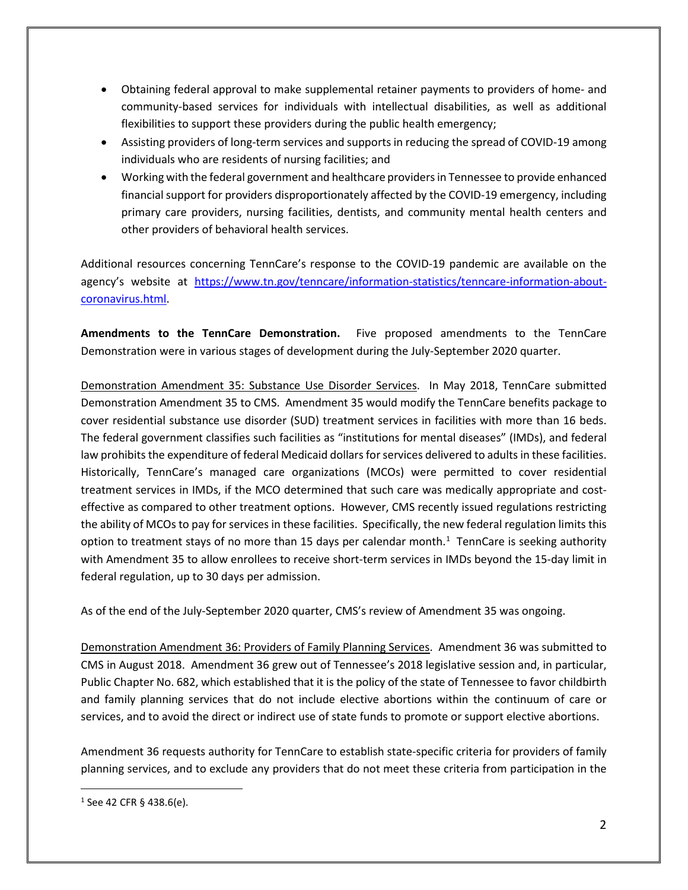- Obtaining federal approval to make supplemental retainer payments to providers of home- and community-based services for individuals with intellectual disabilities, as well as additional flexibilities to support these providers during the public health emergency;
- Assisting providers of long-term services and supports in reducing the spread of COVID-19 among individuals who are residents of nursing facilities; and
- Working with the federal government and healthcare providers in Tennessee to provide enhanced financial support for providers disproportionately affected by the COVID-19 emergency, including primary care providers, nursing facilities, dentists, and community mental health centers and other providers of behavioral health services.

Additional resources concerning TennCare's response to the COVID-19 pandemic are available on the agency's website at [https://www.tn.gov/tenncare/information-statistics/tenncare-information-about](https://www.tn.gov/tenncare/information-statistics/tenncare-information-about-coronavirus.html)[coronavirus.html.](https://www.tn.gov/tenncare/information-statistics/tenncare-information-about-coronavirus.html)

**Amendments to the TennCare Demonstration.** Five proposed amendments to the TennCare Demonstration were in various stages of development during the July-September 2020 quarter.

Demonstration Amendment 35: Substance Use Disorder Services. In May 2018, TennCare submitted Demonstration Amendment 35 to CMS. Amendment 35 would modify the TennCare benefits package to cover residential substance use disorder (SUD) treatment services in facilities with more than 16 beds. The federal government classifies such facilities as "institutions for mental diseases" (IMDs), and federal law prohibits the expenditure of federal Medicaid dollars for services delivered to adults in these facilities. Historically, TennCare's managed care organizations (MCOs) were permitted to cover residential treatment services in IMDs, if the MCO determined that such care was medically appropriate and costeffective as compared to other treatment options. However, CMS recently issued regulations restricting the ability of MCOs to pay for services in these facilities. Specifically, the new federal regulation limits this option to treatment stays of no more than [1](#page-1-0)5 days per calendar month.<sup>1</sup> TennCare is seeking authority with Amendment 35 to allow enrollees to receive short-term services in IMDs beyond the 15-day limit in federal regulation, up to 30 days per admission.

As of the end of the July-September 2020 quarter, CMS's review of Amendment 35 was ongoing.

Demonstration Amendment 36: Providers of Family Planning Services. Amendment 36 was submitted to CMS in August 2018. Amendment 36 grew out of Tennessee's 2018 legislative session and, in particular, Public Chapter No. 682, which established that it is the policy of the state of Tennessee to favor childbirth and family planning services that do not include elective abortions within the continuum of care or services, and to avoid the direct or indirect use of state funds to promote or support elective abortions.

Amendment 36 requests authority for TennCare to establish state-specific criteria for providers of family planning services, and to exclude any providers that do not meet these criteria from participation in the

<span id="page-1-0"></span> $1$  See 42 CFR § 438.6(e).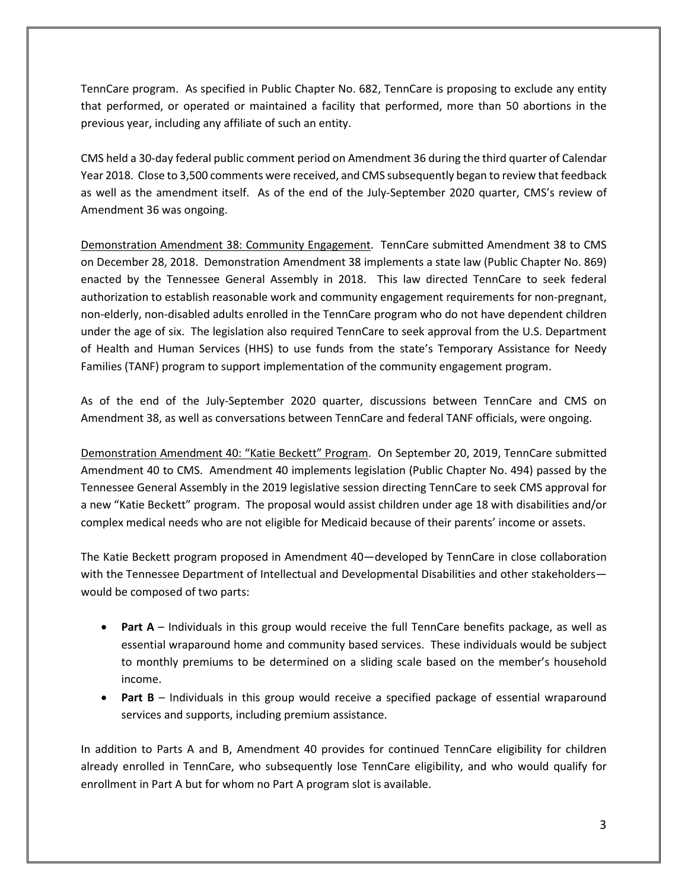TennCare program. As specified in Public Chapter No. 682, TennCare is proposing to exclude any entity that performed, or operated or maintained a facility that performed, more than 50 abortions in the previous year, including any affiliate of such an entity.

CMS held a 30-day federal public comment period on Amendment 36 during the third quarter of Calendar Year 2018. Close to 3,500 comments were received, and CMS subsequently began to review that feedback as well as the amendment itself. As of the end of the July-September 2020 quarter, CMS's review of Amendment 36 was ongoing.

Demonstration Amendment 38: Community Engagement. TennCare submitted Amendment 38 to CMS on December 28, 2018. Demonstration Amendment 38 implements a state law (Public Chapter No. 869) enacted by the Tennessee General Assembly in 2018. This law directed TennCare to seek federal authorization to establish reasonable work and community engagement requirements for non-pregnant, non-elderly, non-disabled adults enrolled in the TennCare program who do not have dependent children under the age of six. The legislation also required TennCare to seek approval from the U.S. Department of Health and Human Services (HHS) to use funds from the state's Temporary Assistance for Needy Families (TANF) program to support implementation of the community engagement program.

As of the end of the July-September 2020 quarter, discussions between TennCare and CMS on Amendment 38, as well as conversations between TennCare and federal TANF officials, were ongoing.

Demonstration Amendment 40: "Katie Beckett" Program. On September 20, 2019, TennCare submitted Amendment 40 to CMS. Amendment 40 implements legislation (Public Chapter No. 494) passed by the Tennessee General Assembly in the 2019 legislative session directing TennCare to seek CMS approval for a new "Katie Beckett" program. The proposal would assist children under age 18 with disabilities and/or complex medical needs who are not eligible for Medicaid because of their parents' income or assets.

The Katie Beckett program proposed in Amendment 40—developed by TennCare in close collaboration with the Tennessee Department of Intellectual and Developmental Disabilities and other stakeholders would be composed of two parts:

- **Part A** Individuals in this group would receive the full TennCare benefits package, as well as essential wraparound home and community based services. These individuals would be subject to monthly premiums to be determined on a sliding scale based on the member's household income.
- **Part B** Individuals in this group would receive a specified package of essential wraparound services and supports, including premium assistance.

In addition to Parts A and B, Amendment 40 provides for continued TennCare eligibility for children already enrolled in TennCare, who subsequently lose TennCare eligibility, and who would qualify for enrollment in Part A but for whom no Part A program slot is available.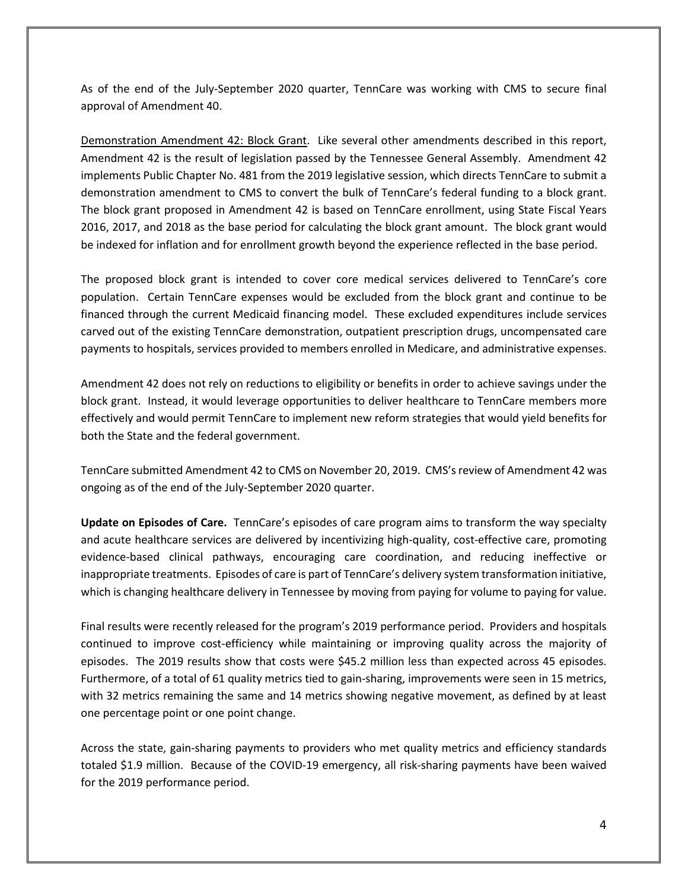As of the end of the July-September 2020 quarter, TennCare was working with CMS to secure final approval of Amendment 40.

Demonstration Amendment 42: Block Grant. Like several other amendments described in this report, Amendment 42 is the result of legislation passed by the Tennessee General Assembly. Amendment 42 implements Public Chapter No. 481 from the 2019 legislative session, which directs TennCare to submit a demonstration amendment to CMS to convert the bulk of TennCare's federal funding to a block grant. The block grant proposed in Amendment 42 is based on TennCare enrollment, using State Fiscal Years 2016, 2017, and 2018 as the base period for calculating the block grant amount. The block grant would be indexed for inflation and for enrollment growth beyond the experience reflected in the base period.

The proposed block grant is intended to cover core medical services delivered to TennCare's core population. Certain TennCare expenses would be excluded from the block grant and continue to be financed through the current Medicaid financing model. These excluded expenditures include services carved out of the existing TennCare demonstration, outpatient prescription drugs, uncompensated care payments to hospitals, services provided to members enrolled in Medicare, and administrative expenses.

Amendment 42 does not rely on reductions to eligibility or benefits in order to achieve savings under the block grant. Instead, it would leverage opportunities to deliver healthcare to TennCare members more effectively and would permit TennCare to implement new reform strategies that would yield benefits for both the State and the federal government.

TennCare submitted Amendment 42 to CMS on November 20, 2019. CMS's review of Amendment 42 was ongoing as of the end of the July-September 2020 quarter.

**Update on Episodes of Care.** TennCare's episodes of care program aims to transform the way specialty and acute healthcare services are delivered by incentivizing high-quality, cost-effective care, promoting evidence-based clinical pathways, encouraging care coordination, and reducing ineffective or inappropriate treatments. Episodes of care is part of TennCare's delivery system transformation initiative, which is changing healthcare delivery in Tennessee by moving from paying for volume to paying for value.

Final results were recently released for the program's 2019 performance period. Providers and hospitals continued to improve cost-efficiency while maintaining or improving quality across the majority of episodes. The 2019 results show that costs were \$45.2 million less than expected across 45 episodes. Furthermore, of a total of 61 quality metrics tied to gain-sharing, improvements were seen in 15 metrics, with 32 metrics remaining the same and 14 metrics showing negative movement, as defined by at least one percentage point or one point change.

Across the state, gain-sharing payments to providers who met quality metrics and efficiency standards totaled \$1.9 million. Because of the COVID-19 emergency, all risk-sharing payments have been waived for the 2019 performance period.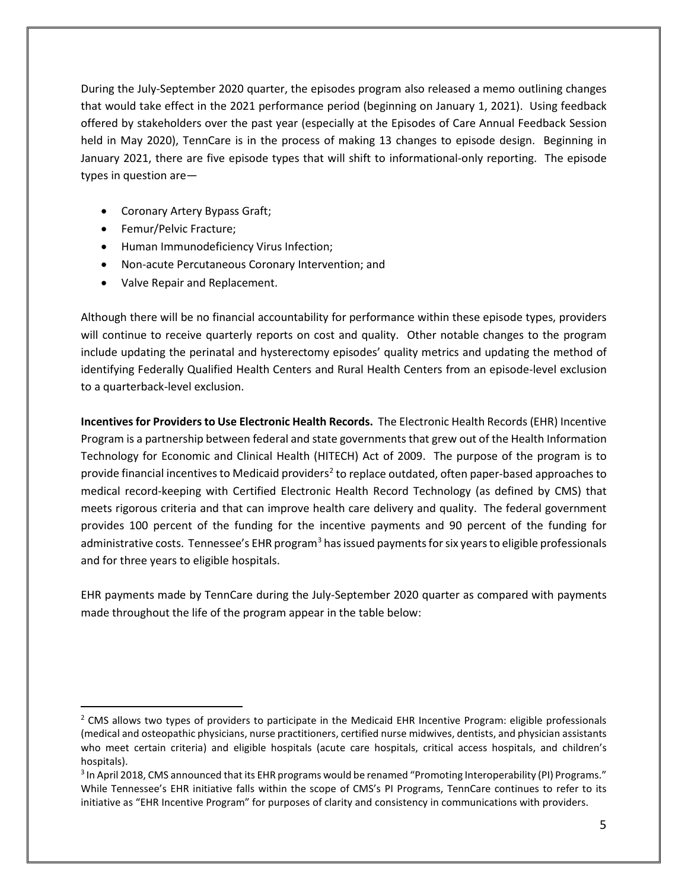During the July-September 2020 quarter, the episodes program also released a memo outlining changes that would take effect in the 2021 performance period (beginning on January 1, 2021). Using feedback offered by stakeholders over the past year (especially at the Episodes of Care Annual Feedback Session held in May 2020), TennCare is in the process of making 13 changes to episode design. Beginning in January 2021, there are five episode types that will shift to informational-only reporting. The episode types in question are—

- Coronary Artery Bypass Graft;
- Femur/Pelvic Fracture;
- Human Immunodeficiency Virus Infection;
- Non-acute Percutaneous Coronary Intervention; and
- Valve Repair and Replacement.

Although there will be no financial accountability for performance within these episode types, providers will continue to receive quarterly reports on cost and quality. Other notable changes to the program include updating the perinatal and hysterectomy episodes' quality metrics and updating the method of identifying Federally Qualified Health Centers and Rural Health Centers from an episode-level exclusion to a quarterback-level exclusion.

**Incentives for Providers to Use Electronic Health Records.** The Electronic Health Records (EHR) Incentive Program is a partnership between federal and state governments that grew out of the Health Information Technology for Economic and Clinical Health (HITECH) Act of 2009. The purpose of the program is to provide financial incentives to Medicaid providers<sup>2</sup> to replace outdated, often paper-based approaches to medical record-keeping with Certified Electronic Health Record Technology (as defined by CMS) that meets rigorous criteria and that can improve health care delivery and quality. The federal government provides 100 percent of the funding for the incentive payments and 90 percent of the funding for administrative costs. Tennessee's EHR program<sup>[3](#page-4-1)</sup> has issued payments for six years to eligible professionals and for three years to eligible hospitals.

EHR payments made by TennCare during the July-September 2020 quarter as compared with payments made throughout the life of the program appear in the table below:

<span id="page-4-0"></span> $<sup>2</sup>$  CMS allows two types of providers to participate in the Medicaid EHR Incentive Program: eligible professionals</sup> (medical and osteopathic physicians, nurse practitioners, certified nurse midwives, dentists, and physician assistants who meet certain criteria) and eligible hospitals (acute care hospitals, critical access hospitals, and children's hospitals).

<span id="page-4-1"></span><sup>3</sup> In April 2018, CMS announced that its EHR programs would be renamed "Promoting Interoperability (PI) Programs." While Tennessee's EHR initiative falls within the scope of CMS's PI Programs, TennCare continues to refer to its initiative as "EHR Incentive Program" for purposes of clarity and consistency in communications with providers.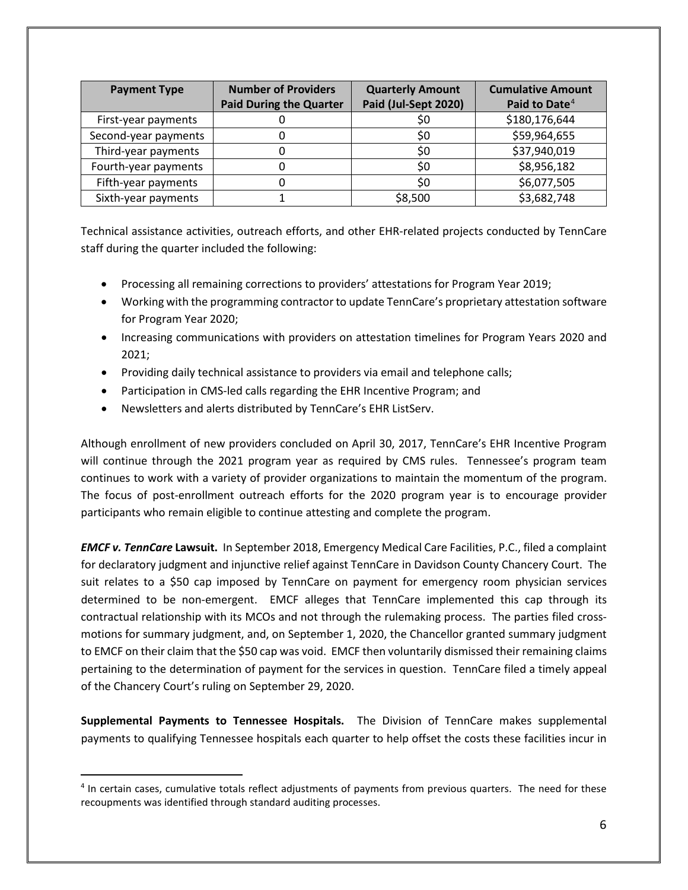| <b>Payment Type</b>  | <b>Number of Providers</b>     | <b>Quarterly Amount</b> | <b>Cumulative Amount</b>  |
|----------------------|--------------------------------|-------------------------|---------------------------|
|                      | <b>Paid During the Quarter</b> | Paid (Jul-Sept 2020)    | Paid to Date <sup>4</sup> |
| First-year payments  |                                | S0                      | \$180,176,644             |
| Second-year payments |                                | \$0                     | \$59,964,655              |
| Third-year payments  |                                | S0                      | \$37,940,019              |
| Fourth-year payments |                                | \$0                     | \$8,956,182               |
| Fifth-year payments  |                                | \$0                     | \$6,077,505               |
| Sixth-year payments  |                                | \$8,500                 | \$3,682,748               |

Technical assistance activities, outreach efforts, and other EHR-related projects conducted by TennCare staff during the quarter included the following:

- Processing all remaining corrections to providers' attestations for Program Year 2019;
- Working with the programming contractor to update TennCare's proprietary attestation software for Program Year 2020;
- Increasing communications with providers on attestation timelines for Program Years 2020 and 2021;
- Providing daily technical assistance to providers via email and telephone calls;
- Participation in CMS-led calls regarding the EHR Incentive Program; and
- Newsletters and alerts distributed by TennCare's EHR ListServ.

Although enrollment of new providers concluded on April 30, 2017, TennCare's EHR Incentive Program will continue through the 2021 program year as required by CMS rules. Tennessee's program team continues to work with a variety of provider organizations to maintain the momentum of the program. The focus of post-enrollment outreach efforts for the 2020 program year is to encourage provider participants who remain eligible to continue attesting and complete the program.

*EMCF v. TennCare* **Lawsuit.** In September 2018, Emergency Medical Care Facilities, P.C., filed a complaint for declaratory judgment and injunctive relief against TennCare in Davidson County Chancery Court. The suit relates to a \$50 cap imposed by TennCare on payment for emergency room physician services determined to be non-emergent. EMCF alleges that TennCare implemented this cap through its contractual relationship with its MCOs and not through the rulemaking process. The parties filed crossmotions for summary judgment, and, on September 1, 2020, the Chancellor granted summary judgment to EMCF on their claim that the \$50 cap was void. EMCF then voluntarily dismissed their remaining claims pertaining to the determination of payment for the services in question. TennCare filed a timely appeal of the Chancery Court's ruling on September 29, 2020.

**Supplemental Payments to Tennessee Hospitals.** The Division of TennCare makes supplemental payments to qualifying Tennessee hospitals each quarter to help offset the costs these facilities incur in

<span id="page-5-0"></span><sup>4</sup> In certain cases, cumulative totals reflect adjustments of payments from previous quarters. The need for these recoupments was identified through standard auditing processes.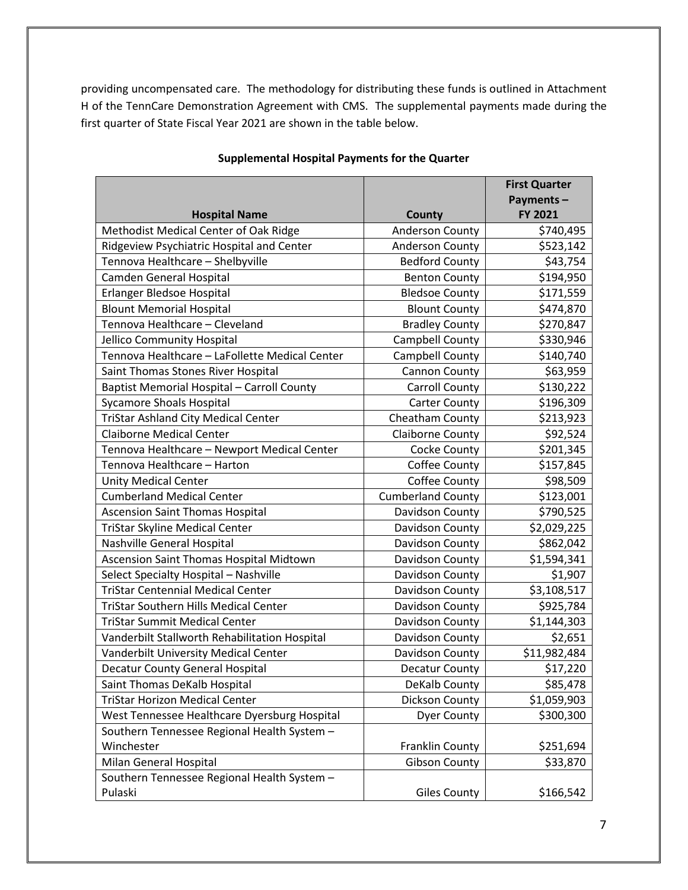providing uncompensated care. The methodology for distributing these funds is outlined in Attachment H of the TennCare Demonstration Agreement with CMS. The supplemental payments made during the first quarter of State Fiscal Year 2021 are shown in the table below.

|                                                |                          | <b>First Quarter</b>     |
|------------------------------------------------|--------------------------|--------------------------|
|                                                |                          | Payments-                |
| <b>Hospital Name</b>                           | <b>County</b>            | FY 2021                  |
| Methodist Medical Center of Oak Ridge          | Anderson County          | \$740,495                |
| Ridgeview Psychiatric Hospital and Center      | <b>Anderson County</b>   | \$523,142                |
| Tennova Healthcare - Shelbyville               | <b>Bedford County</b>    | \$43,754                 |
| Camden General Hospital                        | <b>Benton County</b>     | \$194,950                |
| Erlanger Bledsoe Hospital                      | <b>Bledsoe County</b>    | \$171,559                |
| <b>Blount Memorial Hospital</b>                | <b>Blount County</b>     | \$474,870                |
| Tennova Healthcare - Cleveland                 | <b>Bradley County</b>    | \$270,847                |
| Jellico Community Hospital                     | Campbell County          | \$330,946                |
| Tennova Healthcare - LaFollette Medical Center | Campbell County          | \$140,740                |
| Saint Thomas Stones River Hospital             | Cannon County            | \$63,959                 |
| Baptist Memorial Hospital - Carroll County     | <b>Carroll County</b>    | \$130,222                |
| <b>Sycamore Shoals Hospital</b>                | <b>Carter County</b>     | \$196,309                |
| <b>TriStar Ashland City Medical Center</b>     | Cheatham County          | \$213,923                |
| <b>Claiborne Medical Center</b>                | <b>Claiborne County</b>  | \$92,524                 |
| Tennova Healthcare - Newport Medical Center    | Cocke County             | \$201,345                |
| Tennova Healthcare - Harton                    | Coffee County            | \$157,845                |
| <b>Unity Medical Center</b>                    | Coffee County            | \$98,509                 |
| <b>Cumberland Medical Center</b>               | <b>Cumberland County</b> | \$123,001                |
| <b>Ascension Saint Thomas Hospital</b>         | Davidson County          | \$790,525                |
| TriStar Skyline Medical Center                 | Davidson County          | \$2,029,225              |
| Nashville General Hospital                     | Davidson County          | \$862,042                |
| Ascension Saint Thomas Hospital Midtown        | Davidson County          | \$1,594,341              |
| Select Specialty Hospital - Nashville          | Davidson County          | \$1,907                  |
| <b>TriStar Centennial Medical Center</b>       | Davidson County          | \$3,108,517              |
| <b>TriStar Southern Hills Medical Center</b>   | Davidson County          | \$925,784                |
| <b>TriStar Summit Medical Center</b>           | Davidson County          | \$1,144,303              |
| Vanderbilt Stallworth Rehabilitation Hospital  | Davidson County          | \$2,651                  |
| Vanderbilt University Medical Center           | Davidson County          | $\overline{$}11,982,484$ |
| Decatur County General Hospital                | Decatur County           | \$17,220                 |
| Saint Thomas DeKalb Hospital                   | DeKalb County            | \$85,478                 |
| <b>TriStar Horizon Medical Center</b>          | Dickson County           | \$1,059,903              |
| West Tennessee Healthcare Dyersburg Hospital   | <b>Dyer County</b>       | \$300,300                |
| Southern Tennessee Regional Health System -    |                          |                          |
| Winchester                                     | Franklin County          | \$251,694                |
| Milan General Hospital                         | <b>Gibson County</b>     | \$33,870                 |
| Southern Tennessee Regional Health System -    |                          |                          |
| Pulaski                                        | <b>Giles County</b>      | \$166,542                |

#### **Supplemental Hospital Payments for the Quarter**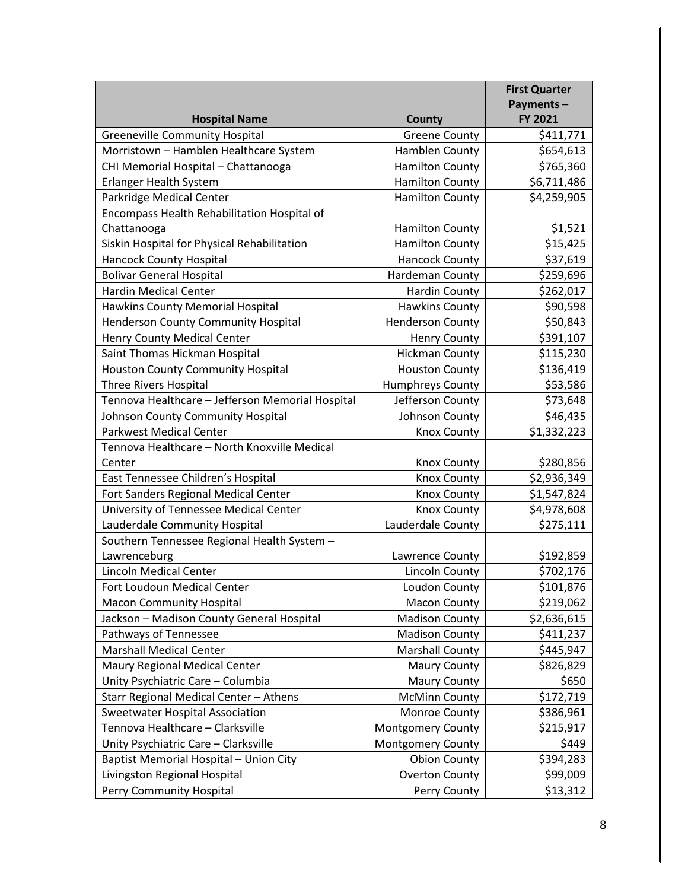|                                                  |                         | <b>First Quarter</b> |
|--------------------------------------------------|-------------------------|----------------------|
|                                                  |                         | Payments-            |
| <b>Hospital Name</b>                             | <b>County</b>           | FY 2021              |
| <b>Greeneville Community Hospital</b>            | <b>Greene County</b>    | \$411,771            |
| Morristown - Hamblen Healthcare System           | Hamblen County          | \$654,613            |
| CHI Memorial Hospital - Chattanooga              | <b>Hamilton County</b>  | \$765,360            |
| Erlanger Health System                           | <b>Hamilton County</b>  | \$6,711,486          |
| Parkridge Medical Center                         | <b>Hamilton County</b>  | \$4,259,905          |
| Encompass Health Rehabilitation Hospital of      |                         |                      |
| Chattanooga                                      | <b>Hamilton County</b>  | \$1,521              |
| Siskin Hospital for Physical Rehabilitation      | <b>Hamilton County</b>  | \$15,425             |
| <b>Hancock County Hospital</b>                   | <b>Hancock County</b>   | \$37,619             |
| <b>Bolivar General Hospital</b>                  | Hardeman County         | \$259,696            |
| <b>Hardin Medical Center</b>                     | <b>Hardin County</b>    | \$262,017            |
| Hawkins County Memorial Hospital                 | <b>Hawkins County</b>   | \$90,598             |
| <b>Henderson County Community Hospital</b>       | <b>Henderson County</b> | \$50,843             |
| Henry County Medical Center                      | <b>Henry County</b>     | \$391,107            |
| Saint Thomas Hickman Hospital                    | <b>Hickman County</b>   | \$115,230            |
| <b>Houston County Community Hospital</b>         | <b>Houston County</b>   | \$136,419            |
| <b>Three Rivers Hospital</b>                     | Humphreys County        | \$53,586             |
| Tennova Healthcare - Jefferson Memorial Hospital | Jefferson County        | \$73,648             |
| Johnson County Community Hospital                | Johnson County          | \$46,435             |
| <b>Parkwest Medical Center</b>                   | <b>Knox County</b>      | \$1,332,223          |
| Tennova Healthcare - North Knoxville Medical     |                         |                      |
| Center                                           | <b>Knox County</b>      | \$280,856            |
| East Tennessee Children's Hospital               | <b>Knox County</b>      | \$2,936,349          |
| Fort Sanders Regional Medical Center             | <b>Knox County</b>      | \$1,547,824          |
| University of Tennessee Medical Center           | <b>Knox County</b>      | \$4,978,608          |
| Lauderdale Community Hospital                    | Lauderdale County       | \$275,111            |
| Southern Tennessee Regional Health System -      |                         |                      |
| Lawrenceburg                                     | Lawrence County         | \$192,859            |
| <b>Lincoln Medical Center</b>                    | <b>Lincoln County</b>   | \$702,176            |
| Fort Loudoun Medical Center                      | Loudon County           | \$101,876            |
| <b>Macon Community Hospital</b>                  | Macon County            | \$219,062            |
| Jackson - Madison County General Hospital        | <b>Madison County</b>   | \$2,636,615          |
| Pathways of Tennessee                            | <b>Madison County</b>   | \$411,237            |
| <b>Marshall Medical Center</b>                   | <b>Marshall County</b>  | \$445,947            |
| Maury Regional Medical Center                    | <b>Maury County</b>     | \$826,829            |
| Unity Psychiatric Care - Columbia                | Maury County            | \$650                |
| Starr Regional Medical Center - Athens           | <b>McMinn County</b>    | \$172,719            |
| <b>Sweetwater Hospital Association</b>           | Monroe County           | \$386,961            |
| Tennova Healthcare - Clarksville                 | Montgomery County       | \$215,917            |
| Unity Psychiatric Care - Clarksville             | Montgomery County       | \$449                |
| Baptist Memorial Hospital - Union City           | <b>Obion County</b>     | \$394,283            |
| Livingston Regional Hospital                     | <b>Overton County</b>   | \$99,009             |
| Perry Community Hospital                         | Perry County            | \$13,312             |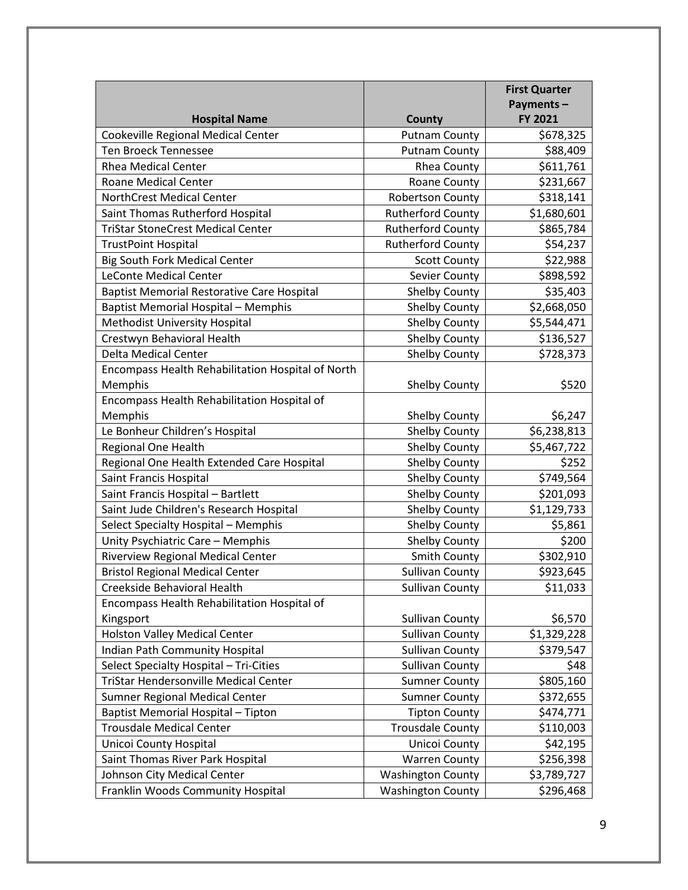|                                                   |                          | <b>First Quarter</b> |
|---------------------------------------------------|--------------------------|----------------------|
|                                                   |                          | Payments-            |
| <b>Hospital Name</b>                              | County                   | FY 2021              |
| Cookeville Regional Medical Center                | <b>Putnam County</b>     | \$678,325            |
| Ten Broeck Tennessee                              | <b>Putnam County</b>     | \$88,409             |
| <b>Rhea Medical Center</b>                        | <b>Rhea County</b>       | \$611,761            |
| <b>Roane Medical Center</b>                       | Roane County             | \$231,667            |
| <b>NorthCrest Medical Center</b>                  | <b>Robertson County</b>  | \$318,141            |
| Saint Thomas Rutherford Hospital                  | <b>Rutherford County</b> | \$1,680,601          |
| <b>TriStar StoneCrest Medical Center</b>          | <b>Rutherford County</b> | \$865,784            |
| <b>TrustPoint Hospital</b>                        | <b>Rutherford County</b> | \$54,237             |
| <b>Big South Fork Medical Center</b>              | <b>Scott County</b>      | \$22,988             |
| <b>LeConte Medical Center</b>                     | Sevier County            | \$898,592            |
| <b>Baptist Memorial Restorative Care Hospital</b> | <b>Shelby County</b>     | \$35,403             |
| <b>Baptist Memorial Hospital - Memphis</b>        | <b>Shelby County</b>     | \$2,668,050          |
| Methodist University Hospital                     | Shelby County            | \$5,544,471          |
| Crestwyn Behavioral Health                        | Shelby County            | \$136,527            |
| <b>Delta Medical Center</b>                       | <b>Shelby County</b>     | \$728,373            |
| Encompass Health Rehabilitation Hospital of North |                          |                      |
| Memphis                                           | <b>Shelby County</b>     | \$520                |
| Encompass Health Rehabilitation Hospital of       |                          |                      |
| Memphis                                           | <b>Shelby County</b>     | \$6,247              |
| Le Bonheur Children's Hospital                    | <b>Shelby County</b>     | \$6,238,813          |
| Regional One Health                               | Shelby County            | \$5,467,722          |
| Regional One Health Extended Care Hospital        | <b>Shelby County</b>     | \$252                |
| Saint Francis Hospital                            | <b>Shelby County</b>     | \$749,564            |
| Saint Francis Hospital - Bartlett                 | <b>Shelby County</b>     | \$201,093            |
| Saint Jude Children's Research Hospital           | <b>Shelby County</b>     | \$1,129,733          |
| Select Specialty Hospital - Memphis               | Shelby County            | \$5,861              |
| Unity Psychiatric Care - Memphis                  | <b>Shelby County</b>     | \$200                |
| Riverview Regional Medical Center                 | <b>Smith County</b>      | \$302,910            |
| <b>Bristol Regional Medical Center</b>            | <b>Sullivan County</b>   | \$923,645            |
| Creekside Behavioral Health                       | <b>Sullivan County</b>   | \$11,033             |
| Encompass Health Rehabilitation Hospital of       |                          |                      |
| Kingsport                                         | <b>Sullivan County</b>   | \$6,570              |
| <b>Holston Valley Medical Center</b>              | <b>Sullivan County</b>   | \$1,329,228          |
| <b>Indian Path Community Hospital</b>             | <b>Sullivan County</b>   | \$379,547            |
| Select Specialty Hospital - Tri-Cities            | <b>Sullivan County</b>   | \$48                 |
| <b>TriStar Hendersonville Medical Center</b>      | <b>Sumner County</b>     | \$805,160            |
| Sumner Regional Medical Center                    | <b>Sumner County</b>     | \$372,655            |
| Baptist Memorial Hospital - Tipton                | <b>Tipton County</b>     | \$474,771            |
| <b>Trousdale Medical Center</b>                   | <b>Trousdale County</b>  | \$110,003            |
| Unicoi County Hospital                            | Unicoi County            | \$42,195             |
| Saint Thomas River Park Hospital                  | <b>Warren County</b>     | \$256,398            |
| Johnson City Medical Center                       | <b>Washington County</b> | \$3,789,727          |
| Franklin Woods Community Hospital                 | <b>Washington County</b> | \$296,468            |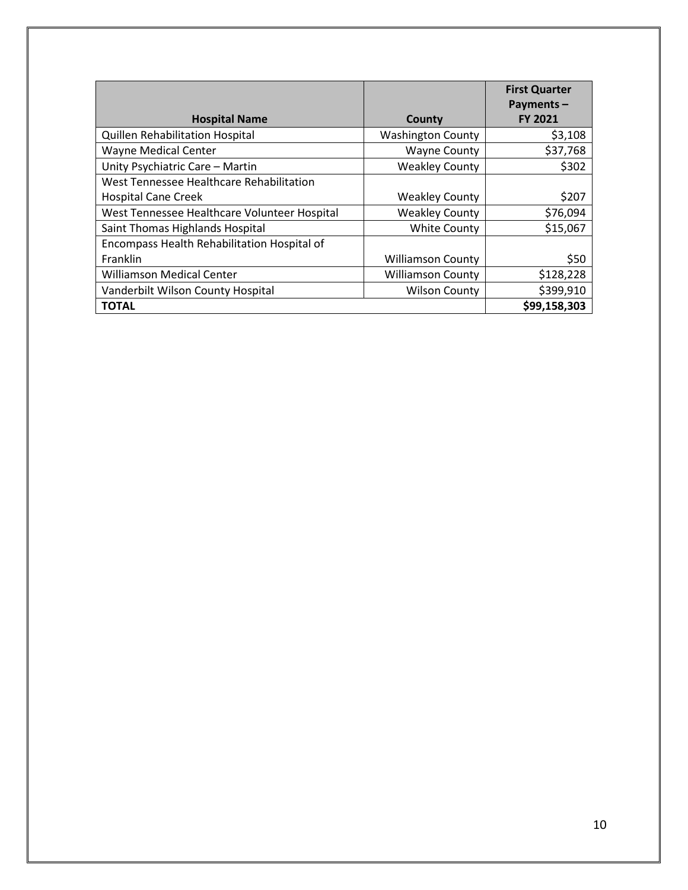|                                              |                          | <b>First Quarter</b><br>Payments- |
|----------------------------------------------|--------------------------|-----------------------------------|
| <b>Hospital Name</b>                         | County                   | <b>FY 2021</b>                    |
| Quillen Rehabilitation Hospital              | <b>Washington County</b> | \$3,108                           |
| <b>Wayne Medical Center</b>                  | <b>Wayne County</b>      | \$37,768                          |
| Unity Psychiatric Care - Martin              | <b>Weakley County</b>    | \$302                             |
| West Tennessee Healthcare Rehabilitation     |                          |                                   |
| <b>Hospital Cane Creek</b>                   | <b>Weakley County</b>    | \$207                             |
| West Tennessee Healthcare Volunteer Hospital | <b>Weakley County</b>    | \$76,094                          |
| Saint Thomas Highlands Hospital              | <b>White County</b>      | \$15,067                          |
| Encompass Health Rehabilitation Hospital of  |                          |                                   |
| Franklin                                     | <b>Williamson County</b> | \$50                              |
| <b>Williamson Medical Center</b>             | <b>Williamson County</b> | \$128,228                         |
| Vanderbilt Wilson County Hospital            | <b>Wilson County</b>     | \$399,910                         |
| <b>TOTAL</b>                                 |                          | \$99,158,303                      |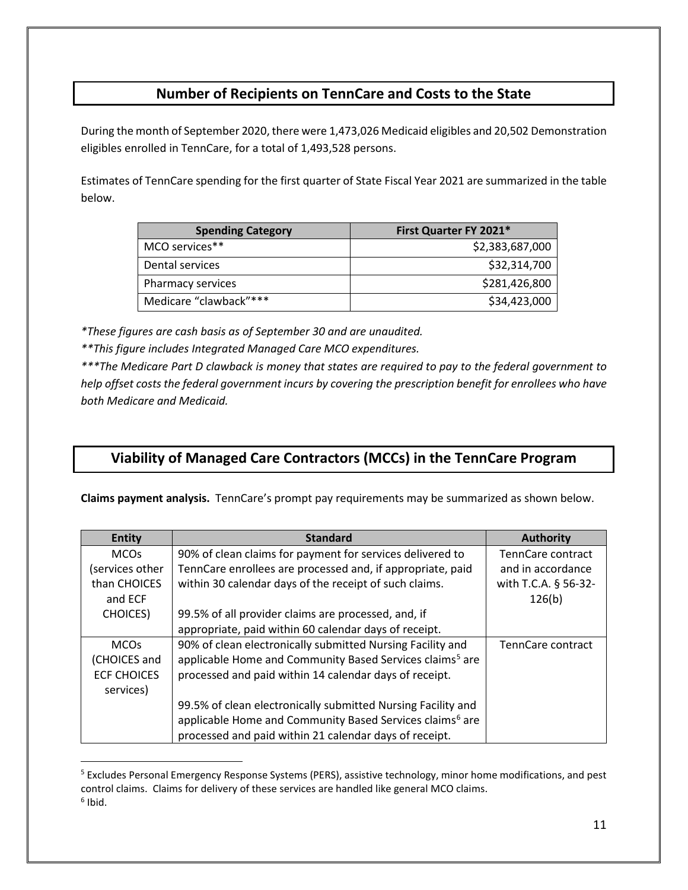## **Number of Recipients on TennCare and Costs to the State**

During the month of September 2020, there were 1,473,026 Medicaid eligibles and 20,502 Demonstration eligibles enrolled in TennCare, for a total of 1,493,528 persons.

Estimates of TennCare spending for the first quarter of State Fiscal Year 2021 are summarized in the table below.

| <b>Spending Category</b> | First Quarter FY 2021* |
|--------------------------|------------------------|
| MCO services**           | \$2,383,687,000        |
| Dental services          | \$32,314,700           |
| Pharmacy services        | \$281,426,800          |
| Medicare "clawback"***   | \$34,423,000           |

*\*These figures are cash basis as of September 30 and are unaudited.*

*\*\*This figure includes Integrated Managed Care MCO expenditures.*

*\*\*\*The Medicare Part D clawback is money that states are required to pay to the federal government to help offset costs the federal government incurs by covering the prescription benefit for enrollees who have both Medicare and Medicaid.*

## **Viability of Managed Care Contractors (MCCs) in the TennCare Program**

**Claims payment analysis.** TennCare's prompt pay requirements may be summarized as shown below.

| <b>Entity</b>          | <b>Standard</b>                                                      | <b>Authority</b>         |
|------------------------|----------------------------------------------------------------------|--------------------------|
| <b>MCOs</b>            | 90% of clean claims for payment for services delivered to            | TennCare contract        |
| services other         | TennCare enrollees are processed and, if appropriate, paid           | and in accordance        |
| than CHOICES           | within 30 calendar days of the receipt of such claims.               | with T.C.A. § 56-32-     |
| and ECF                |                                                                      | 126(b)                   |
| <b>CHOICES</b> )       | 99.5% of all provider claims are processed, and, if                  |                          |
|                        | appropriate, paid within 60 calendar days of receipt.                |                          |
| <b>MCO<sub>s</sub></b> | 90% of clean electronically submitted Nursing Facility and           | <b>TennCare contract</b> |
| (CHOICES and           | applicable Home and Community Based Services claims <sup>5</sup> are |                          |
| <b>ECF CHOICES</b>     | processed and paid within 14 calendar days of receipt.               |                          |
| services)              |                                                                      |                          |
|                        | 99.5% of clean electronically submitted Nursing Facility and         |                          |
|                        | applicable Home and Community Based Services claims <sup>6</sup> are |                          |
|                        | processed and paid within 21 calendar days of receipt.               |                          |

<span id="page-10-1"></span><span id="page-10-0"></span><sup>5</sup> Excludes Personal Emergency Response Systems (PERS), assistive technology, minor home modifications, and pest control claims. Claims for delivery of these services are handled like general MCO claims.  $6$  Ibid.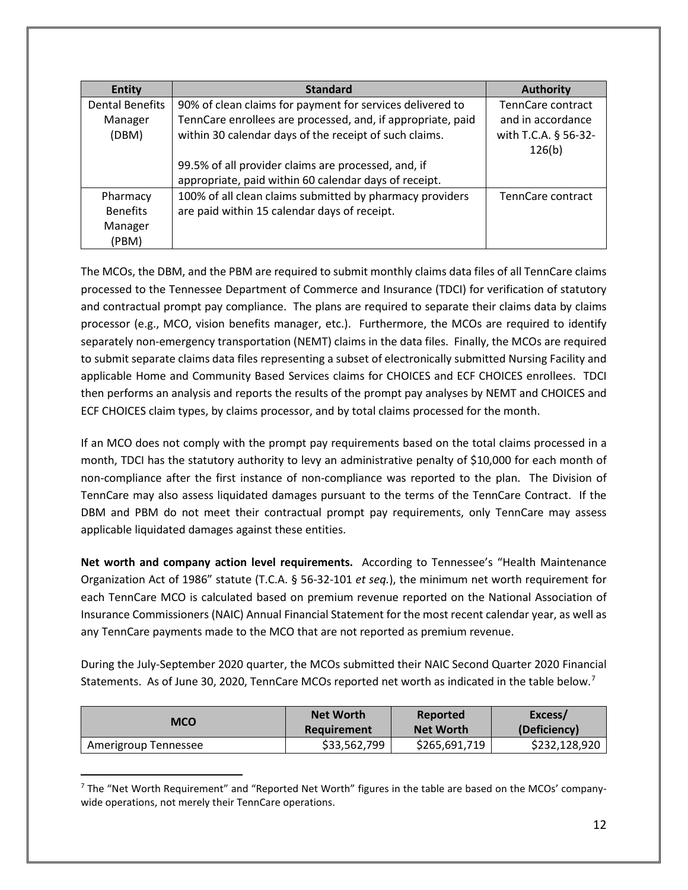| <b>Entity</b>          | <b>Standard</b>                                             | <b>Authority</b>     |
|------------------------|-------------------------------------------------------------|----------------------|
| <b>Dental Benefits</b> | 90% of clean claims for payment for services delivered to   | TennCare contract    |
| Manager                | TennCare enrollees are processed, and, if appropriate, paid | and in accordance    |
| (DBM)                  | within 30 calendar days of the receipt of such claims.      | with T.C.A. § 56-32- |
|                        |                                                             | 126(b)               |
|                        | 99.5% of all provider claims are processed, and, if         |                      |
|                        | appropriate, paid within 60 calendar days of receipt.       |                      |
| Pharmacy               | 100% of all clean claims submitted by pharmacy providers    | TennCare contract    |
| <b>Benefits</b>        | are paid within 15 calendar days of receipt.                |                      |
| Manager                |                                                             |                      |
| (PBM)                  |                                                             |                      |

The MCOs, the DBM, and the PBM are required to submit monthly claims data files of all TennCare claims processed to the Tennessee Department of Commerce and Insurance (TDCI) for verification of statutory and contractual prompt pay compliance. The plans are required to separate their claims data by claims processor (e.g., MCO, vision benefits manager, etc.). Furthermore, the MCOs are required to identify separately non-emergency transportation (NEMT) claims in the data files. Finally, the MCOs are required to submit separate claims data files representing a subset of electronically submitted Nursing Facility and applicable Home and Community Based Services claims for CHOICES and ECF CHOICES enrollees. TDCI then performs an analysis and reports the results of the prompt pay analyses by NEMT and CHOICES and ECF CHOICES claim types, by claims processor, and by total claims processed for the month.

If an MCO does not comply with the prompt pay requirements based on the total claims processed in a month, TDCI has the statutory authority to levy an administrative penalty of \$10,000 for each month of non-compliance after the first instance of non-compliance was reported to the plan. The Division of TennCare may also assess liquidated damages pursuant to the terms of the TennCare Contract. If the DBM and PBM do not meet their contractual prompt pay requirements, only TennCare may assess applicable liquidated damages against these entities.

**Net worth and company action level requirements.** According to Tennessee's "Health Maintenance Organization Act of 1986" statute (T.C.A. § 56-32-101 *et seq.*), the minimum net worth requirement for each TennCare MCO is calculated based on premium revenue reported on the National Association of Insurance Commissioners (NAIC) Annual Financial Statement for the most recent calendar year, as well as any TennCare payments made to the MCO that are not reported as premium revenue.

During the July-September 2020 quarter, the MCOs submitted their NAIC Second Quarter 2020 Financial Statements. As of June 30, 2020, TennCare MCOs reported net worth as indicated in the table below.<sup>[7](#page-11-0)</sup>

| <b>MCO</b>           | <b>Net Worth</b> | Reported         | Excess/       |
|----------------------|------------------|------------------|---------------|
|                      | Requirement      | <b>Net Worth</b> | (Deficiency)  |
| Amerigroup Tennessee | \$33,562,799     | \$265,691,719    | \$232,128,920 |

<span id="page-11-0"></span> $<sup>7</sup>$  The "Net Worth Requirement" and "Reported Net Worth" figures in the table are based on the MCOs' company-</sup> wide operations, not merely their TennCare operations.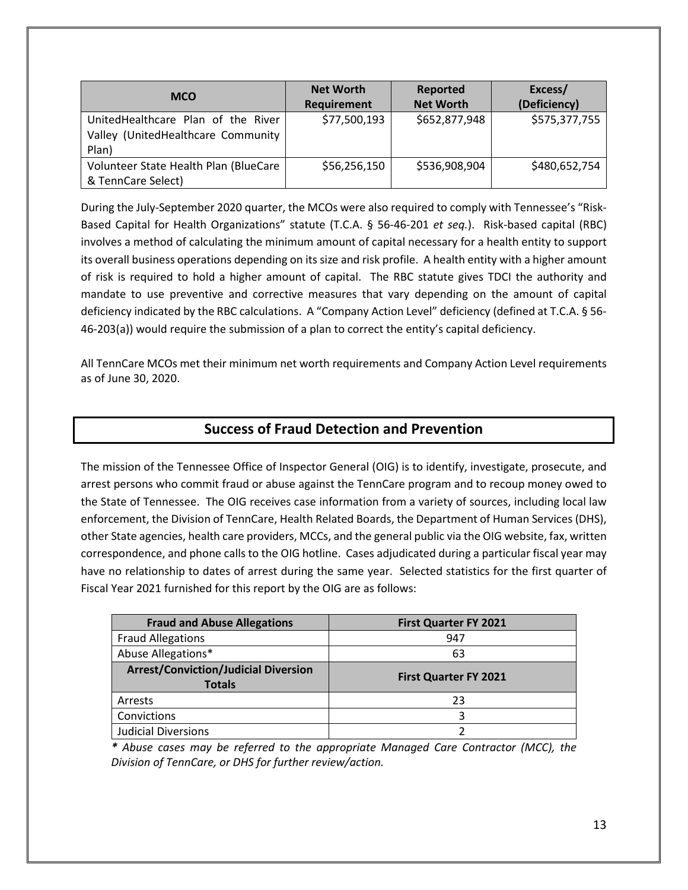| <b>MCO</b>                            | <b>Net Worth</b>   | Reported         | Excess/       |
|---------------------------------------|--------------------|------------------|---------------|
|                                       | <b>Requirement</b> | <b>Net Worth</b> | (Deficiency)  |
| UnitedHealthcare Plan of the River    | \$77,500,193       | \$652,877,948    | \$575,377,755 |
| Valley (UnitedHealthcare Community    |                    |                  |               |
| Plan)                                 |                    |                  |               |
| Volunteer State Health Plan (BlueCare | \$56,256,150       | \$536,908,904    | \$480,652,754 |
| & TennCare Select)                    |                    |                  |               |

During the July-September 2020 quarter, the MCOs were also required to comply with Tennessee's "Risk-Based Capital for Health Organizations" statute (T.C.A. § 56-46-201 *et seq.*). Risk-based capital (RBC) involves a method of calculating the minimum amount of capital necessary for a health entity to support its overall business operations depending on its size and risk profile. A health entity with a higher amount of risk is required to hold a higher amount of capital. The RBC statute gives TDCI the authority and mandate to use preventive and corrective measures that vary depending on the amount of capital deficiency indicated by the RBC calculations. A "Company Action Level" deficiency (defined at T.C.A. § 56- 46-203(a)) would require the submission of a plan to correct the entity's capital deficiency.

All TennCare MCOs met their minimum net worth requirements and Company Action Level requirements as of June 30, 2020.

## **Success of Fraud Detection and Prevention**

The mission of the Tennessee Office of Inspector General (OIG) is to identify, investigate, prosecute, and arrest persons who commit fraud or abuse against the TennCare program and to recoup money owed to the State of Tennessee.The OIG receives case information from a variety of sources, including local law enforcement, the Division of TennCare, Health Related Boards, the Department of Human Services (DHS), other State agencies, health care providers, MCCs, and the general public via the OIG website, fax, written correspondence, and phone calls to the OIG hotline. Cases adjudicated during a particular fiscal year may have no relationship to dates of arrest during the same year. Selected statistics for the first quarter of Fiscal Year 2021 furnished for this report by the OIG are as follows:

| <b>Fraud and Abuse Allegations</b>                           | <b>First Quarter FY 2021</b> |
|--------------------------------------------------------------|------------------------------|
| <b>Fraud Allegations</b>                                     | 947                          |
| Abuse Allegations*                                           | 63                           |
| <b>Arrest/Conviction/Judicial Diversion</b><br><b>Totals</b> | <b>First Quarter FY 2021</b> |
| Arrests                                                      | 23                           |
| Convictions                                                  | 3                            |
| <b>Judicial Diversions</b>                                   |                              |

*\* Abuse cases may be referred to the appropriate Managed Care Contractor (MCC), the Division of TennCare, or DHS for further review/action.*